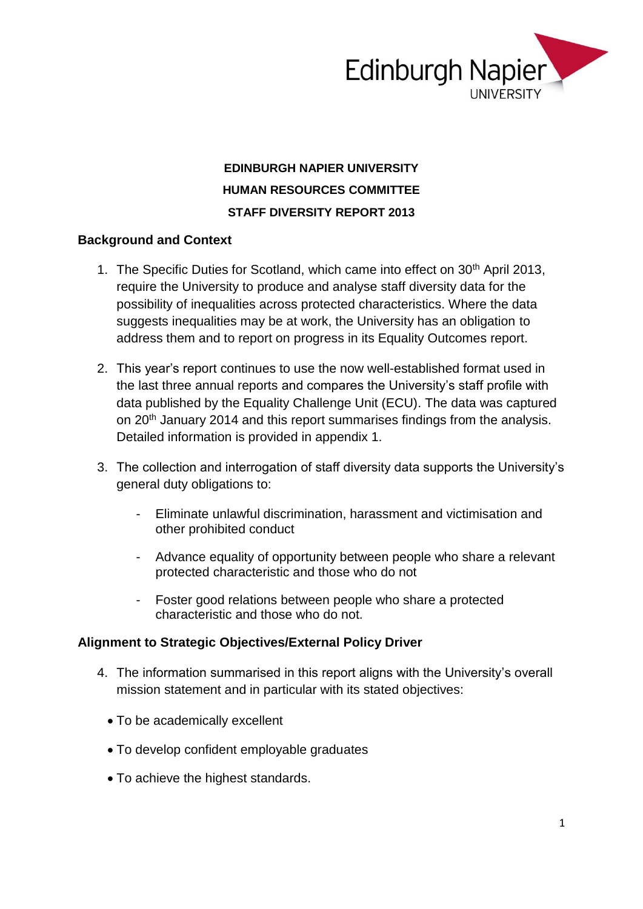

# **EDINBURGH NAPIER UNIVERSITY HUMAN RESOURCES COMMITTEE STAFF DIVERSITY REPORT 2013**

### **Background and Context**

- 1. The Specific Duties for Scotland, which came into effect on 30<sup>th</sup> April 2013, require the University to produce and analyse staff diversity data for the possibility of inequalities across protected characteristics. Where the data suggests inequalities may be at work, the University has an obligation to address them and to report on progress in its Equality Outcomes report.
- 2. This year's report continues to use the now well-established format used in the last three annual reports and compares the University's staff profile with data published by the Equality Challenge Unit (ECU). The data was captured on 20<sup>th</sup> January 2014 and this report summarises findings from the analysis. Detailed information is provided in appendix 1.
- 3. The collection and interrogation of staff diversity data supports the University's general duty obligations to:
	- Eliminate unlawful discrimination, harassment and victimisation and other prohibited conduct
	- Advance equality of opportunity between people who share a relevant protected characteristic and those who do not
	- Foster good relations between people who share a protected characteristic and those who do not.

#### **Alignment to Strategic Objectives/External Policy Driver**

- 4. The information summarised in this report aligns with the University's overall mission statement and in particular with its stated objectives:
	- To be academically excellent
	- To develop confident employable graduates
	- To achieve the highest standards.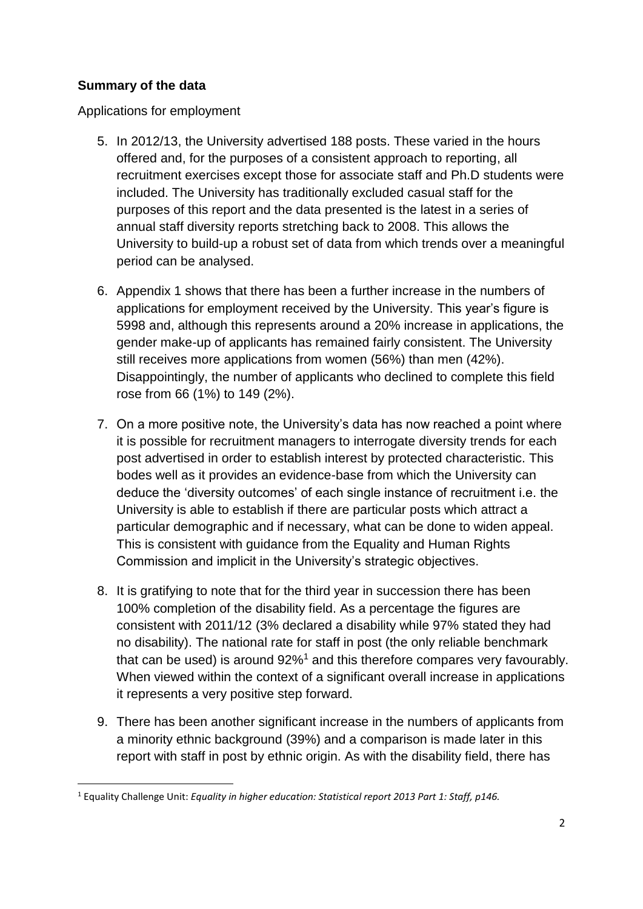## **Summary of the data**

**.** 

Applications for employment

- 5. In 2012/13, the University advertised 188 posts. These varied in the hours offered and, for the purposes of a consistent approach to reporting, all recruitment exercises except those for associate staff and Ph.D students were included. The University has traditionally excluded casual staff for the purposes of this report and the data presented is the latest in a series of annual staff diversity reports stretching back to 2008. This allows the University to build-up a robust set of data from which trends over a meaningful period can be analysed.
- 6. Appendix 1 shows that there has been a further increase in the numbers of applications for employment received by the University. This year's figure is 5998 and, although this represents around a 20% increase in applications, the gender make-up of applicants has remained fairly consistent. The University still receives more applications from women (56%) than men (42%). Disappointingly, the number of applicants who declined to complete this field rose from 66 (1%) to 149 (2%).
- 7. On a more positive note, the University's data has now reached a point where it is possible for recruitment managers to interrogate diversity trends for each post advertised in order to establish interest by protected characteristic. This bodes well as it provides an evidence-base from which the University can deduce the 'diversity outcomes' of each single instance of recruitment i.e. the University is able to establish if there are particular posts which attract a particular demographic and if necessary, what can be done to widen appeal. This is consistent with guidance from the Equality and Human Rights Commission and implicit in the University's strategic objectives.
- 8. It is gratifying to note that for the third year in succession there has been 100% completion of the disability field. As a percentage the figures are consistent with 2011/12 (3% declared a disability while 97% stated they had no disability). The national rate for staff in post (the only reliable benchmark that can be used) is around 92%<sup>1</sup> and this therefore compares very favourably. When viewed within the context of a significant overall increase in applications it represents a very positive step forward.
- 9. There has been another significant increase in the numbers of applicants from a minority ethnic background (39%) and a comparison is made later in this report with staff in post by ethnic origin. As with the disability field, there has

<sup>1</sup> Equality Challenge Unit: *Equality in higher education: Statistical report 2013 Part 1: Staff, p146.*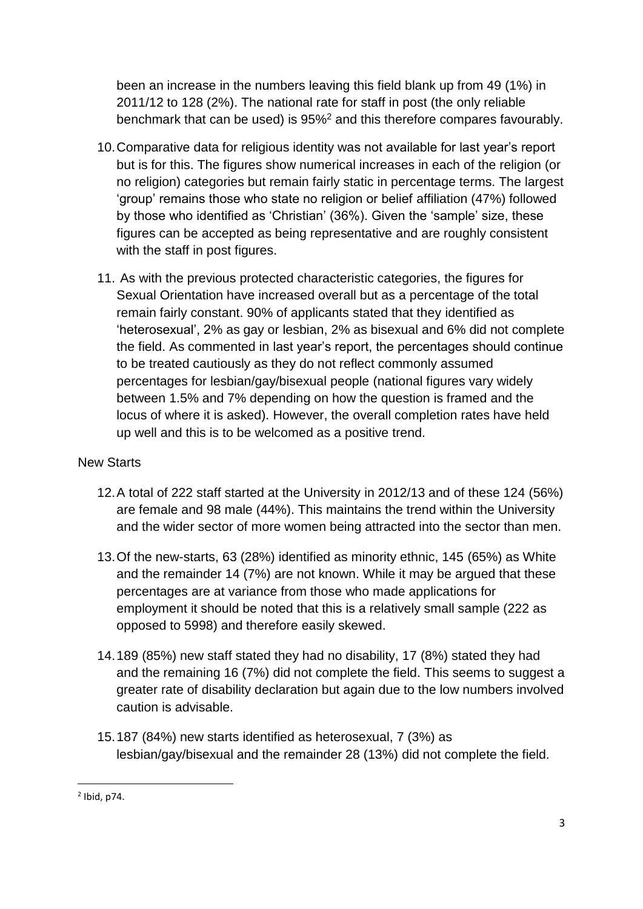been an increase in the numbers leaving this field blank up from 49 (1%) in 2011/12 to 128 (2%). The national rate for staff in post (the only reliable benchmark that can be used) is 95%<sup>2</sup> and this therefore compares favourably.

- 10.Comparative data for religious identity was not available for last year's report but is for this. The figures show numerical increases in each of the religion (or no religion) categories but remain fairly static in percentage terms. The largest 'group' remains those who state no religion or belief affiliation (47%) followed by those who identified as 'Christian' (36%). Given the 'sample' size, these figures can be accepted as being representative and are roughly consistent with the staff in post figures.
- 11. As with the previous protected characteristic categories, the figures for Sexual Orientation have increased overall but as a percentage of the total remain fairly constant. 90% of applicants stated that they identified as 'heterosexual', 2% as gay or lesbian, 2% as bisexual and 6% did not complete the field. As commented in last year's report, the percentages should continue to be treated cautiously as they do not reflect commonly assumed percentages for lesbian/gay/bisexual people (national figures vary widely between 1.5% and 7% depending on how the question is framed and the locus of where it is asked). However, the overall completion rates have held up well and this is to be welcomed as a positive trend.

## New Starts

- 12.A total of 222 staff started at the University in 2012/13 and of these 124 (56%) are female and 98 male (44%). This maintains the trend within the University and the wider sector of more women being attracted into the sector than men.
- 13.Of the new-starts, 63 (28%) identified as minority ethnic, 145 (65%) as White and the remainder 14 (7%) are not known. While it may be argued that these percentages are at variance from those who made applications for employment it should be noted that this is a relatively small sample (222 as opposed to 5998) and therefore easily skewed.
- 14.189 (85%) new staff stated they had no disability, 17 (8%) stated they had and the remaining 16 (7%) did not complete the field. This seems to suggest a greater rate of disability declaration but again due to the low numbers involved caution is advisable.
- 15.187 (84%) new starts identified as heterosexual, 7 (3%) as lesbian/gay/bisexual and the remainder 28 (13%) did not complete the field.

**.** 

 $2$  Ibid, p74.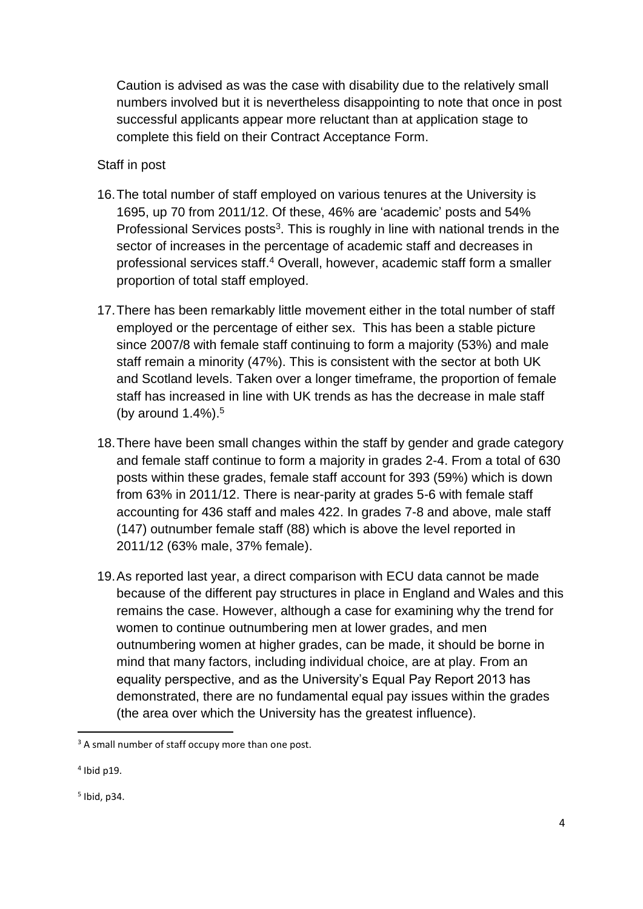Caution is advised as was the case with disability due to the relatively small numbers involved but it is nevertheless disappointing to note that once in post successful applicants appear more reluctant than at application stage to complete this field on their Contract Acceptance Form.

### Staff in post

- 16.The total number of staff employed on various tenures at the University is 1695, up 70 from 2011/12. Of these, 46% are 'academic' posts and 54% Professional Services posts<sup>3</sup>. This is roughly in line with national trends in the sector of increases in the percentage of academic staff and decreases in professional services staff.<sup>4</sup> Overall, however, academic staff form a smaller proportion of total staff employed.
- 17.There has been remarkably little movement either in the total number of staff employed or the percentage of either sex. This has been a stable picture since 2007/8 with female staff continuing to form a majority (53%) and male staff remain a minority (47%). This is consistent with the sector at both UK and Scotland levels. Taken over a longer timeframe, the proportion of female staff has increased in line with UK trends as has the decrease in male staff (by around 1.4%).<sup>5</sup>
- 18.There have been small changes within the staff by gender and grade category and female staff continue to form a majority in grades 2-4. From a total of 630 posts within these grades, female staff account for 393 (59%) which is down from 63% in 2011/12. There is near-parity at grades 5-6 with female staff accounting for 436 staff and males 422. In grades 7-8 and above, male staff (147) outnumber female staff (88) which is above the level reported in 2011/12 (63% male, 37% female).
- 19.As reported last year, a direct comparison with ECU data cannot be made because of the different pay structures in place in England and Wales and this remains the case. However, although a case for examining why the trend for women to continue outnumbering men at lower grades, and men outnumbering women at higher grades, can be made, it should be borne in mind that many factors, including individual choice, are at play. From an equality perspective, and as the University's Equal Pay Report 2013 has demonstrated, there are no fundamental equal pay issues within the grades (the area over which the University has the greatest influence).

**.** 

<sup>&</sup>lt;sup>3</sup> A small number of staff occupy more than one post.

<sup>4</sup> Ibid p19.

<sup>5</sup> Ibid, p34.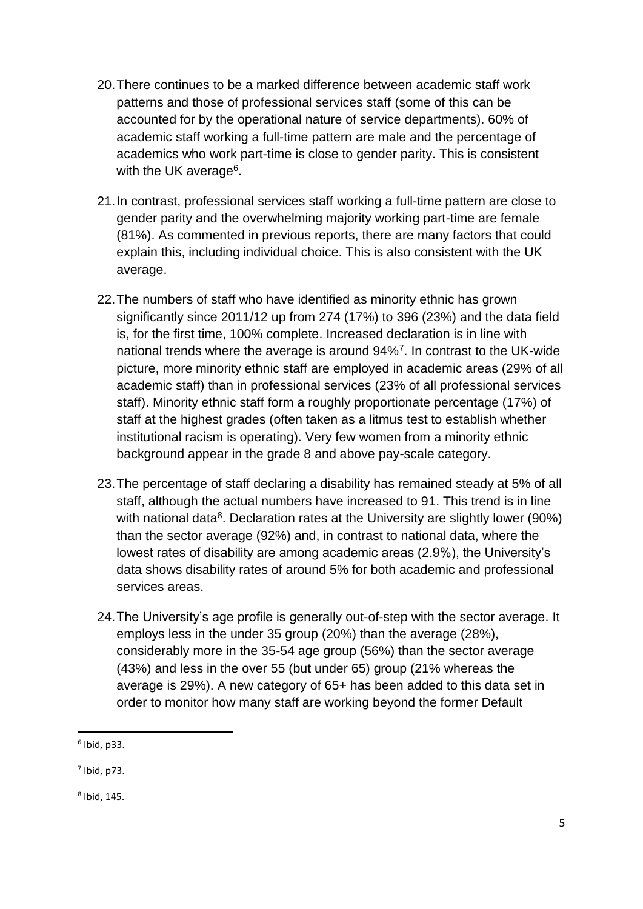- 20.There continues to be a marked difference between academic staff work patterns and those of professional services staff (some of this can be accounted for by the operational nature of service departments). 60% of academic staff working a full-time pattern are male and the percentage of academics who work part-time is close to gender parity. This is consistent with the UK average<sup>6</sup>.
- 21.In contrast, professional services staff working a full-time pattern are close to gender parity and the overwhelming majority working part-time are female (81%). As commented in previous reports, there are many factors that could explain this, including individual choice. This is also consistent with the UK average.
- 22.The numbers of staff who have identified as minority ethnic has grown significantly since 2011/12 up from 274 (17%) to 396 (23%) and the data field is, for the first time, 100% complete. Increased declaration is in line with national trends where the average is around 94%<sup>7</sup>. In contrast to the UK-wide picture, more minority ethnic staff are employed in academic areas (29% of all academic staff) than in professional services (23% of all professional services staff). Minority ethnic staff form a roughly proportionate percentage (17%) of staff at the highest grades (often taken as a litmus test to establish whether institutional racism is operating). Very few women from a minority ethnic background appear in the grade 8 and above pay-scale category.
- 23.The percentage of staff declaring a disability has remained steady at 5% of all staff, although the actual numbers have increased to 91. This trend is in line with national data<sup>8</sup>. Declaration rates at the University are slightly lower (90%) than the sector average (92%) and, in contrast to national data, where the lowest rates of disability are among academic areas (2.9%), the University's data shows disability rates of around 5% for both academic and professional services areas.
- 24.The University's age profile is generally out-of-step with the sector average. It employs less in the under 35 group (20%) than the average (28%), considerably more in the 35-54 age group (56%) than the sector average (43%) and less in the over 55 (but under 65) group (21% whereas the average is 29%). A new category of 65+ has been added to this data set in order to monitor how many staff are working beyond the former Default

**.** 

 $<sup>6</sup>$  Ibid, p33.</sup>

 $<sup>7</sup>$  Ibid, p73.</sup>

<sup>8</sup> Ibid, 145.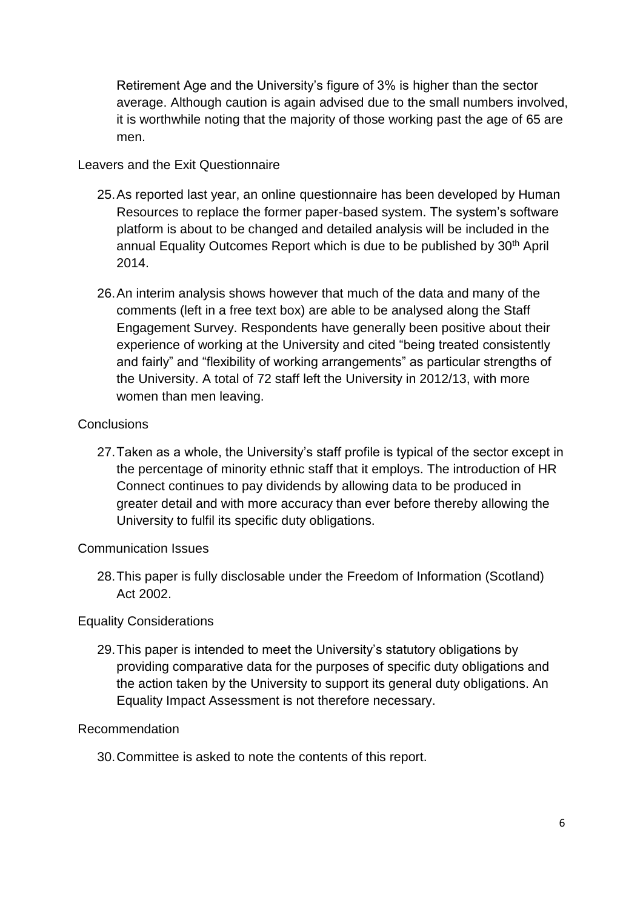Retirement Age and the University's figure of 3% is higher than the sector average. Although caution is again advised due to the small numbers involved, it is worthwhile noting that the majority of those working past the age of 65 are men.

### Leavers and the Exit Questionnaire

- 25.As reported last year, an online questionnaire has been developed by Human Resources to replace the former paper-based system. The system's software platform is about to be changed and detailed analysis will be included in the annual Equality Outcomes Report which is due to be published by 30th April 2014.
- 26.An interim analysis shows however that much of the data and many of the comments (left in a free text box) are able to be analysed along the Staff Engagement Survey. Respondents have generally been positive about their experience of working at the University and cited "being treated consistently and fairly" and "flexibility of working arrangements" as particular strengths of the University. A total of 72 staff left the University in 2012/13, with more women than men leaving.

### **Conclusions**

27.Taken as a whole, the University's staff profile is typical of the sector except in the percentage of minority ethnic staff that it employs. The introduction of HR Connect continues to pay dividends by allowing data to be produced in greater detail and with more accuracy than ever before thereby allowing the University to fulfil its specific duty obligations.

#### Communication Issues

28.This paper is fully disclosable under the Freedom of Information (Scotland) Act 2002.

### Equality Considerations

29.This paper is intended to meet the University's statutory obligations by providing comparative data for the purposes of specific duty obligations and the action taken by the University to support its general duty obligations. An Equality Impact Assessment is not therefore necessary.

#### Recommendation

30.Committee is asked to note the contents of this report.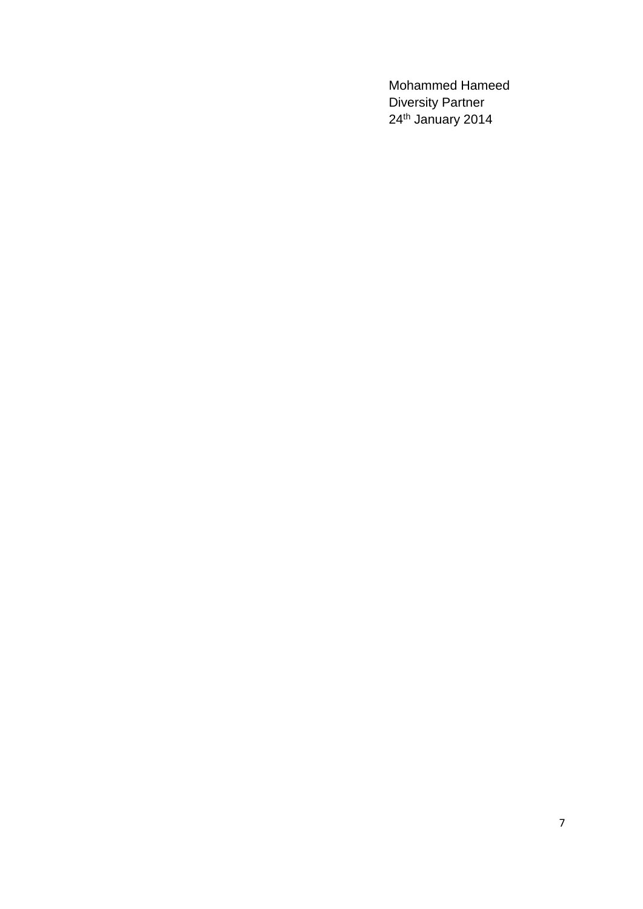Mohammed Hameed Diversity Partner 24th January 2014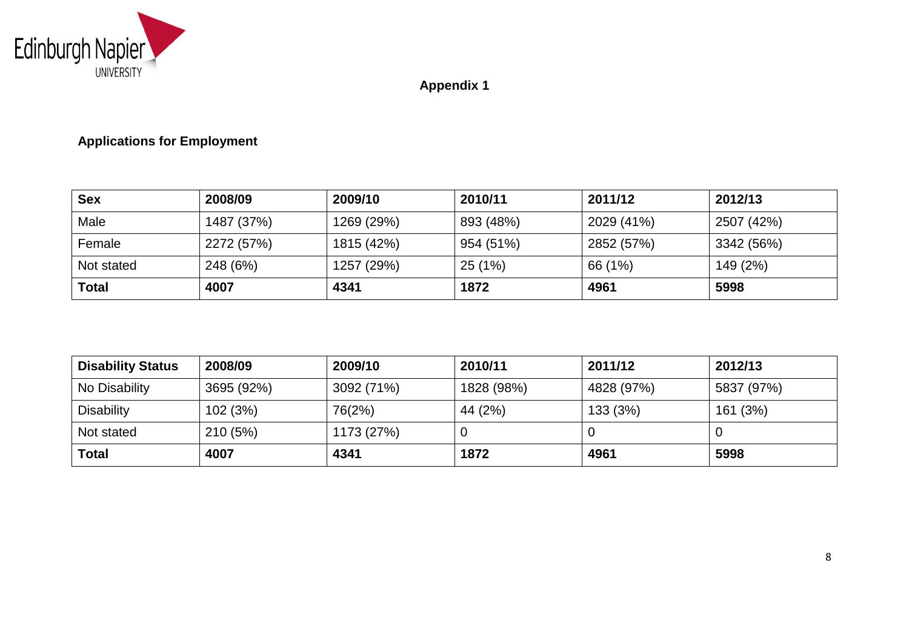

**Appendix 1**

# **Applications for Employment**

| <b>Sex</b>   | 2008/09    | 2009/10    | 2010/11   | 2011/12    | 2012/13    |
|--------------|------------|------------|-----------|------------|------------|
| Male         | 1487 (37%) | 1269 (29%) | 893 (48%) | 2029 (41%) | 2507 (42%) |
| Female       | 2272 (57%) | 1815 (42%) | 954 (51%) | 2852 (57%) | 3342 (56%) |
| Not stated   | 248 (6%)   | 1257 (29%) | 25(1%)    | 66 (1%)    | 149 (2%)   |
| <b>Total</b> | 4007       | 4341       | 1872      | 4961       | 5998       |

| <b>Disability Status</b> | 2008/09    | 2009/10    | 2010/11    | 2011/12    | 2012/13    |
|--------------------------|------------|------------|------------|------------|------------|
| No Disability            | 3695 (92%) | 3092 (71%) | 1828 (98%) | 4828 (97%) | 5837 (97%) |
| <b>Disability</b>        | 102 (3%)   | 76(2%)     | 44 (2%)    | 133 (3%)   | 161 (3%)   |
| Not stated               | 210(5%)    | 1173 (27%) | U          |            |            |
| <b>Total</b>             | 4007       | 4341       | 1872       | 4961       | 5998       |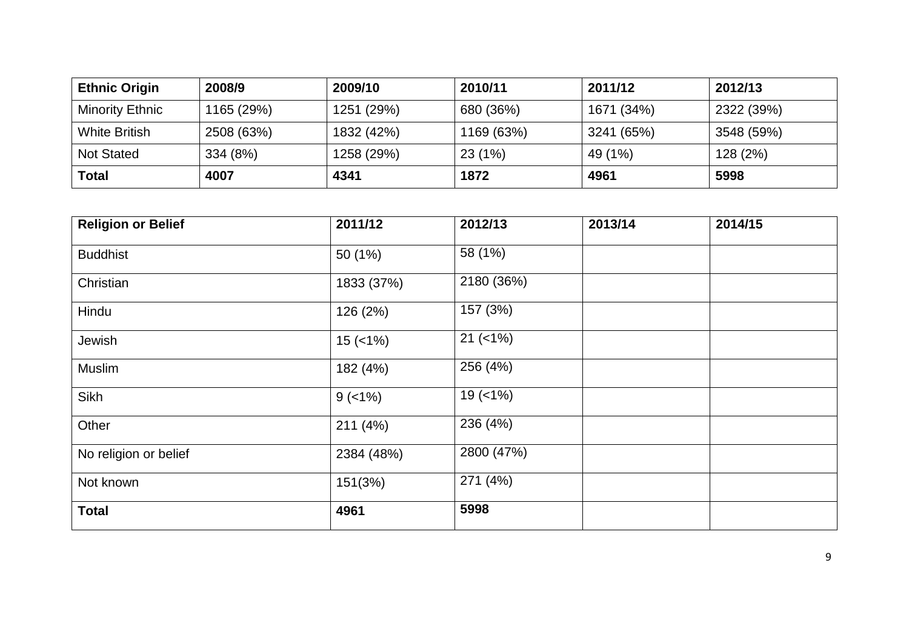| <b>Ethnic Origin</b> | 2008/9     | 2009/10    | 2010/11    | 2011/12    | 2012/13    |
|----------------------|------------|------------|------------|------------|------------|
| Minority Ethnic      | 1165 (29%) | 1251 (29%) | 680 (36%)  | 1671 (34%) | 2322 (39%) |
| <b>White British</b> | 2508 (63%) | 1832 (42%) | 1169 (63%) | 3241 (65%) | 3548 (59%) |
| <b>Not Stated</b>    | 334 (8%)   | 1258 (29%) | 23(1%)     | 49 (1%)    | 128 (2%)   |
| Total                | 4007       | 4341       | 1872       | 4961       | 5998       |

| <b>Religion or Belief</b> | 2011/12    | 2012/13      | 2013/14 | 2014/15 |
|---------------------------|------------|--------------|---------|---------|
| <b>Buddhist</b>           | 50 (1%)    | 58 (1%)      |         |         |
| Christian                 | 1833 (37%) | 2180 (36%)   |         |         |
| Hindu                     | 126 (2%)   | 157 (3%)     |         |         |
| Jewish                    | $15$ (<1%) | $21 (< 1\%)$ |         |         |
| Muslim                    | 182 (4%)   | 256 (4%)     |         |         |
| Sikh                      | $9$ (<1%)  | $19$ (<1%)   |         |         |
| Other                     | 211 (4%)   | 236 (4%)     |         |         |
| No religion or belief     | 2384 (48%) | 2800 (47%)   |         |         |
| Not known                 | 151(3%)    | 271 (4%)     |         |         |
| <b>Total</b>              | 4961       | 5998         |         |         |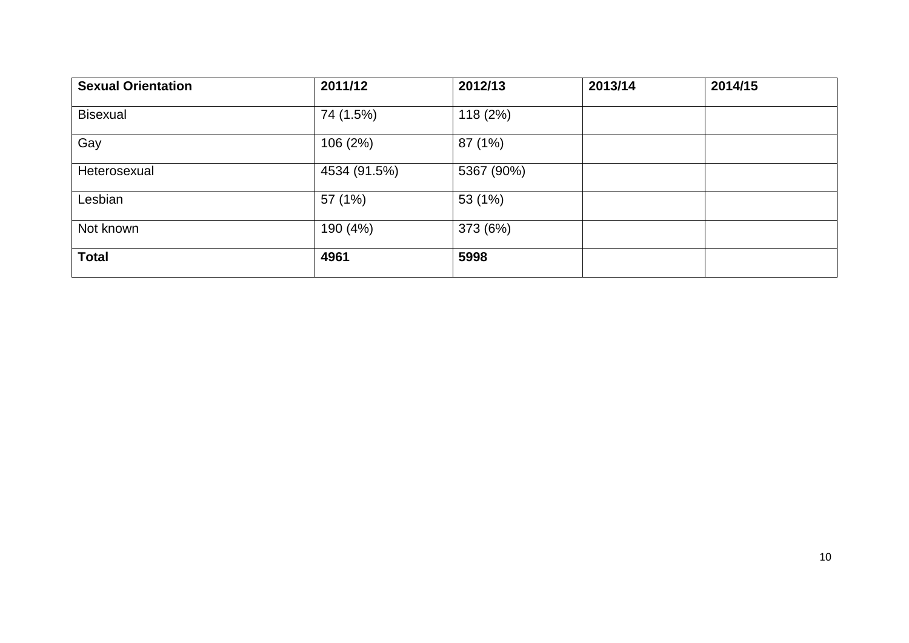| <b>Sexual Orientation</b> | 2011/12      | 2012/13    | 2013/14 | 2014/15 |
|---------------------------|--------------|------------|---------|---------|
| <b>Bisexual</b>           | 74 (1.5%)    | 118 (2%)   |         |         |
| Gay                       | 106 (2%)     | 87 (1%)    |         |         |
| Heterosexual              | 4534 (91.5%) | 5367 (90%) |         |         |
| Lesbian                   | 57 (1%)      | 53 (1%)    |         |         |
| Not known                 | 190 (4%)     | 373 (6%)   |         |         |
| <b>Total</b>              | 4961         | 5998       |         |         |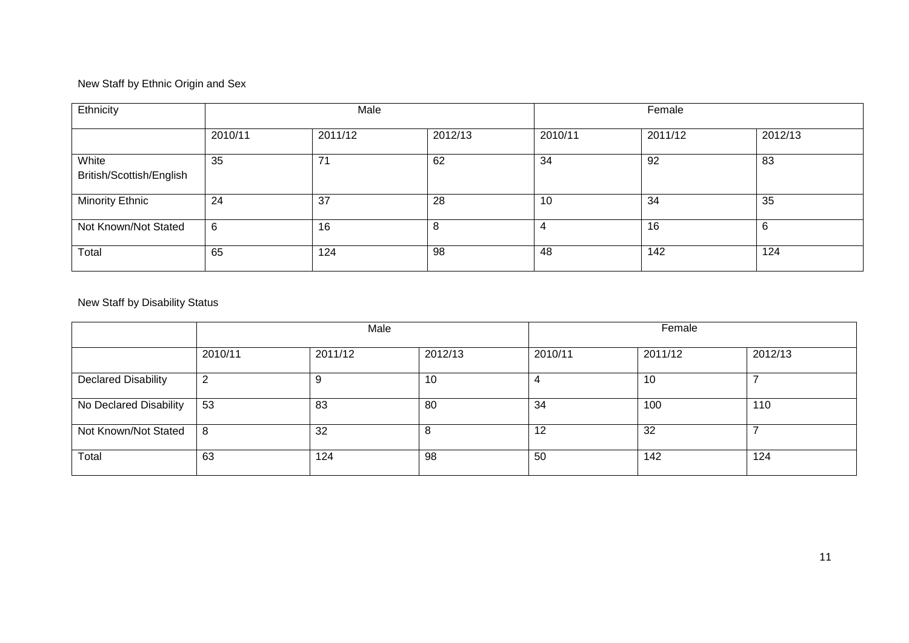### New Staff by Ethnic Origin and Sex

| Ethnicity                         |         | Male    |         | Female  |         |         |
|-----------------------------------|---------|---------|---------|---------|---------|---------|
|                                   | 2010/11 | 2011/12 | 2012/13 | 2010/11 | 2011/12 | 2012/13 |
| White<br>British/Scottish/English | 35      | 74      | 62      | 34      | 92      | 83      |
| <b>Minority Ethnic</b>            | 24      | 37      | 28      | 10      | 34      | 35      |
| Not Known/Not Stated              | 6       | 16      | 8       | 4       | 16      | 6       |
| Total                             | 65      | 124     | 98      | 48      | 142     | 124     |

# New Staff by Disability Status

|                            | Male    |         |         |         | Female  |         |  |
|----------------------------|---------|---------|---------|---------|---------|---------|--|
|                            | 2010/11 | 2011/12 | 2012/13 | 2010/11 | 2011/12 | 2012/13 |  |
| <b>Declared Disability</b> | 2       |         | 10      |         | 10      |         |  |
| No Declared Disability     | 53      | 83      | 80      | 34      | 100     | 110     |  |
| Not Known/Not Stated       | -8      | 32      | 8       | 12      | 32      |         |  |
| Total                      | 63      | 124     | 98      | 50      | 142     | 124     |  |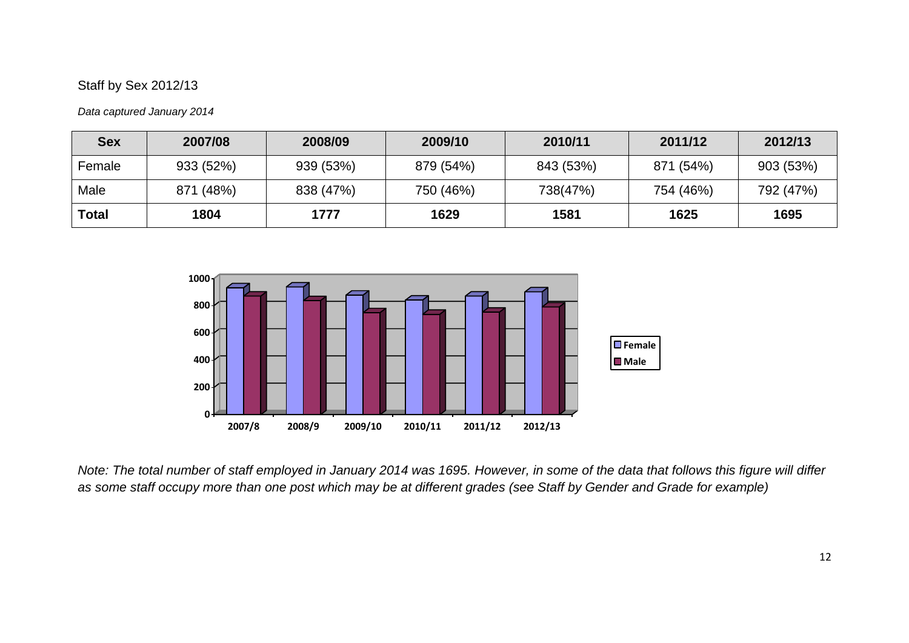### Staff by Sex 2012/13

#### *Data captured January 2014*

| <b>Sex</b> | 2007/08   | 2008/09   | 2009/10   | 2010/11   | 2011/12   | 2012/13   |
|------------|-----------|-----------|-----------|-----------|-----------|-----------|
| Female     | 933 (52%) | 939 (53%) | 879 (54%) | 843 (53%) | 871 (54%) | 903 (53%) |
| Male       | 871 (48%) | 838 (47%) | 750 (46%) | 738(47%)  | 754 (46%) | 792 (47%) |
| Total      | 1804      | 1777      | 1629      | 1581      | 1625      | 1695      |



*Note: The total number of staff employed in January 2014 was 1695. However, in some of the data that follows this figure will differ as some staff occupy more than one post which may be at different grades (see Staff by Gender and Grade for example)*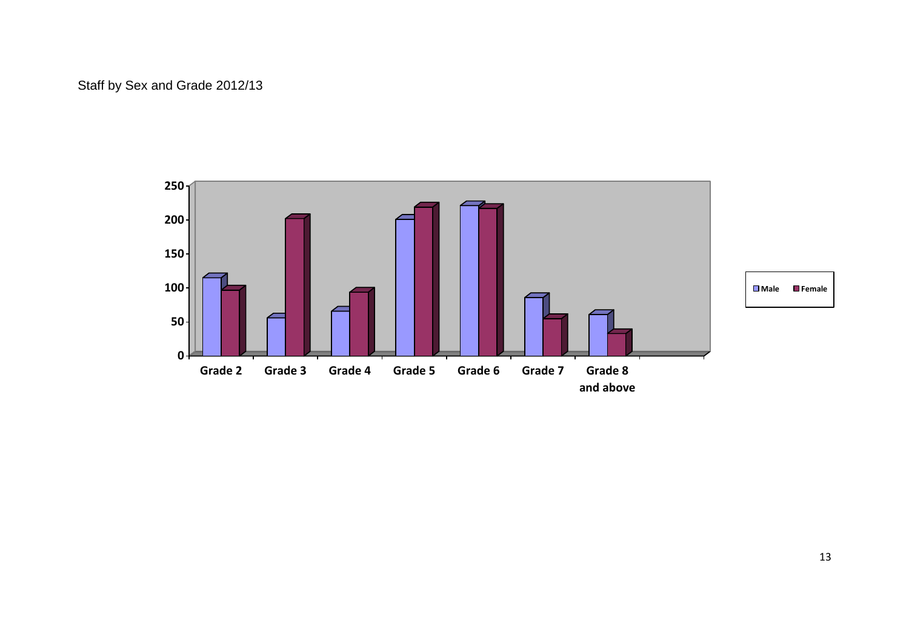# Staff by Sex and Grade 2012/13

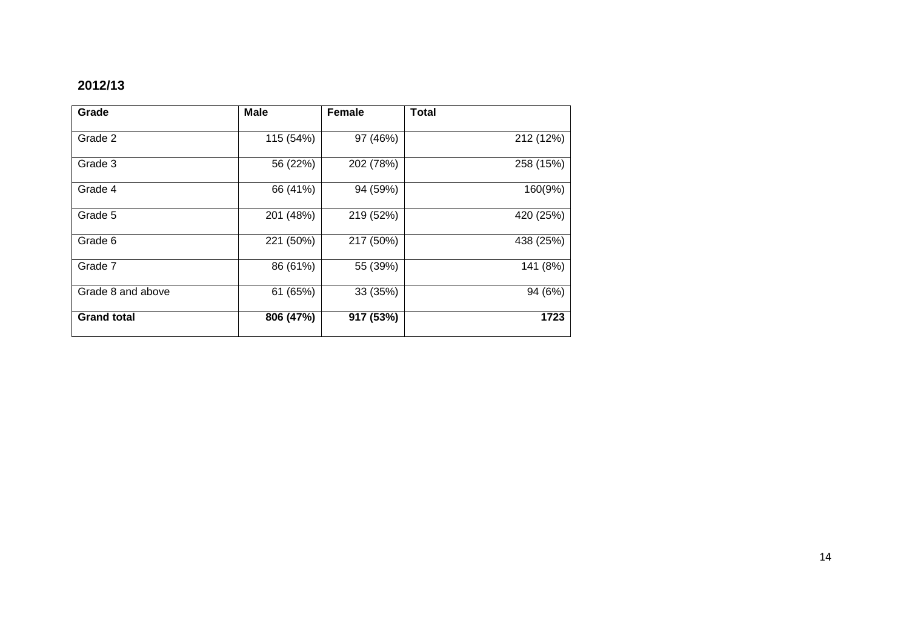# **2012/13**

| Grade              | <b>Male</b> | <b>Female</b> | <b>Total</b> |
|--------------------|-------------|---------------|--------------|
|                    |             |               |              |
| Grade 2            | 115 (54%)   | 97 (46%)      | 212 (12%)    |
| Grade 3            | 56 (22%)    | 202 (78%)     | 258 (15%)    |
|                    |             |               |              |
| Grade 4            | 66 (41%)    | 94 (59%)      | 160(9%)      |
| Grade 5            | 201 (48%)   | 219 (52%)     | 420 (25%)    |
|                    |             |               |              |
| Grade 6            | 221 (50%)   | 217 (50%)     | 438 (25%)    |
| Grade 7            | 86 (61%)    | 55 (39%)      | 141 (8%)     |
|                    |             |               |              |
| Grade 8 and above  | 61 (65%)    | 33 (35%)      | 94 (6%)      |
| <b>Grand total</b> | 806 (47%)   | 917 (53%)     | 1723         |
|                    |             |               |              |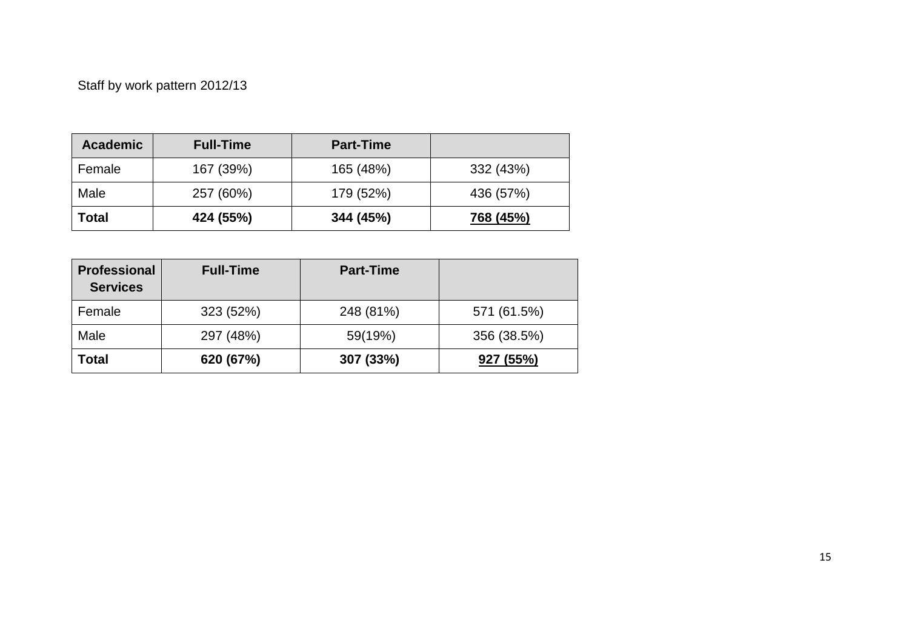# Staff by work pattern 2012/13

| <b>Academic</b> | <b>Full-Time</b> | <b>Part-Time</b> |           |
|-----------------|------------------|------------------|-----------|
| Female          | 167 (39%)        | 165 (48%)        | 332 (43%) |
| Male            | 257 (60%)        | 179 (52%)        | 436 (57%) |
| Total           | 424 (55%)        | 344 (45%)        | 768 (45%) |

| <b>Professional</b><br><b>Services</b> | <b>Full-Time</b> | <b>Part-Time</b> |             |
|----------------------------------------|------------------|------------------|-------------|
| Female                                 | 323 (52%)        | 248 (81%)        | 571 (61.5%) |
| Male                                   | 297 (48%)        | 59(19%)          | 356 (38.5%) |
| Total                                  | 620 (67%)        | 307 (33%)        | 927 (55%)   |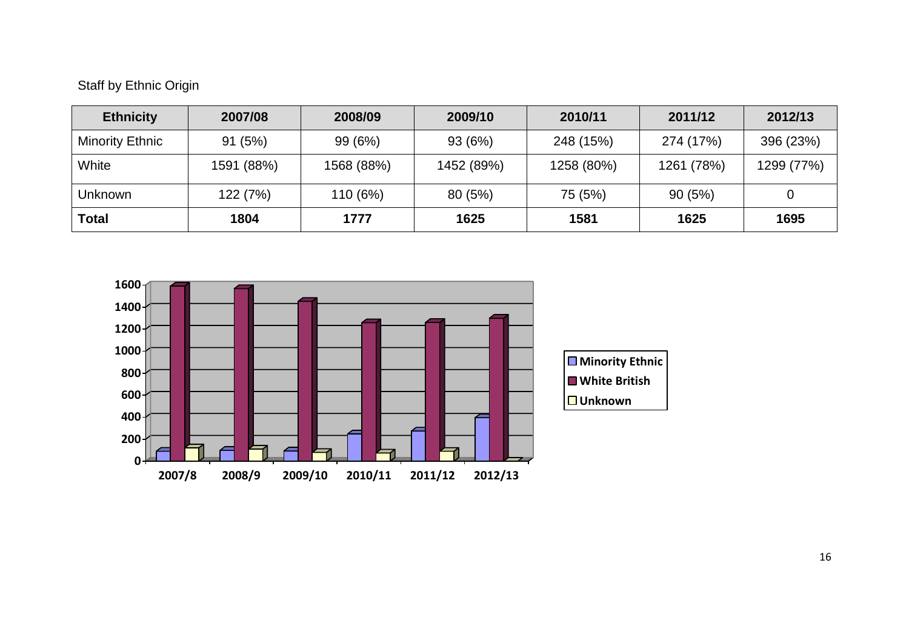# Staff by Ethnic Origin

| <b>Ethnicity</b> | 2007/08    | 2008/09    | 2009/10    | 2010/11    | 2011/12    | 2012/13    |
|------------------|------------|------------|------------|------------|------------|------------|
| Minority Ethnic  | 91(5%)     | 99 (6%)    | 93(6%)     | 248 (15%)  | 274 (17%)  | 396 (23%)  |
| White            | 1591 (88%) | 1568 (88%) | 1452 (89%) | 1258 (80%) | 1261 (78%) | 1299 (77%) |
| Unknown          | 122 (7%)   | 110 (6%)   | 80 (5%)    | 75 (5%)    | 90(5%)     | 0          |
| Total            | 1804       | 1777       | 1625       | 1581       | 1625       | 1695       |

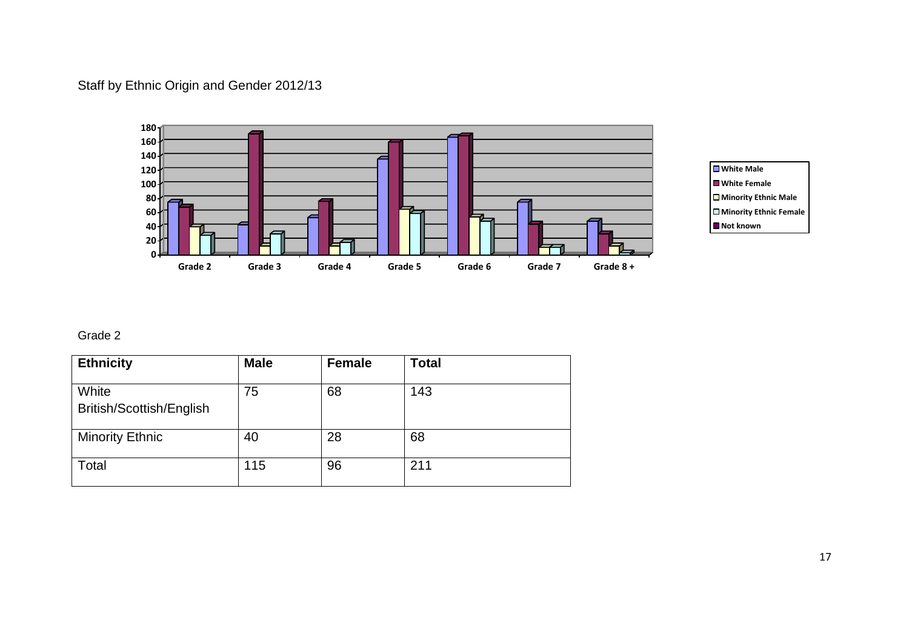# Staff by Ethnic Origin and Gender 2012/13





### Grade 2

| <b>Ethnicity</b>                  | <b>Male</b> | <b>Female</b> | <b>Total</b> |
|-----------------------------------|-------------|---------------|--------------|
| White<br>British/Scottish/English | 75          | 68            | 143          |
| <b>Minority Ethnic</b>            | 40          | 28            | 68           |
| Total                             | 115         | 96            | 211          |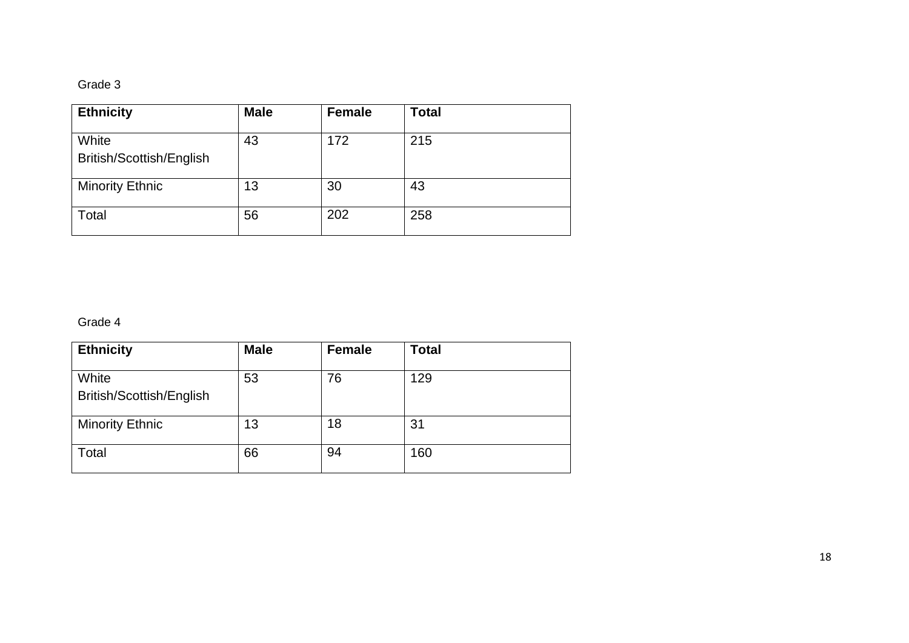## Grade 3

| <b>Ethnicity</b>                  | <b>Male</b> | <b>Female</b> | <b>Total</b> |
|-----------------------------------|-------------|---------------|--------------|
| White<br>British/Scottish/English | 43          | 172           | 215          |
| <b>Minority Ethnic</b>            | 13          | 30            | 43           |
| Total                             | 56          | 202           | 258          |

## Grade 4

| <b>Ethnicity</b>                  | <b>Male</b> | <b>Female</b> | <b>Total</b> |
|-----------------------------------|-------------|---------------|--------------|
| White<br>British/Scottish/English | 53          | 76            | 129          |
| <b>Minority Ethnic</b>            | 13          | 18            | 31           |
| Total                             | 66          | 94            | 160          |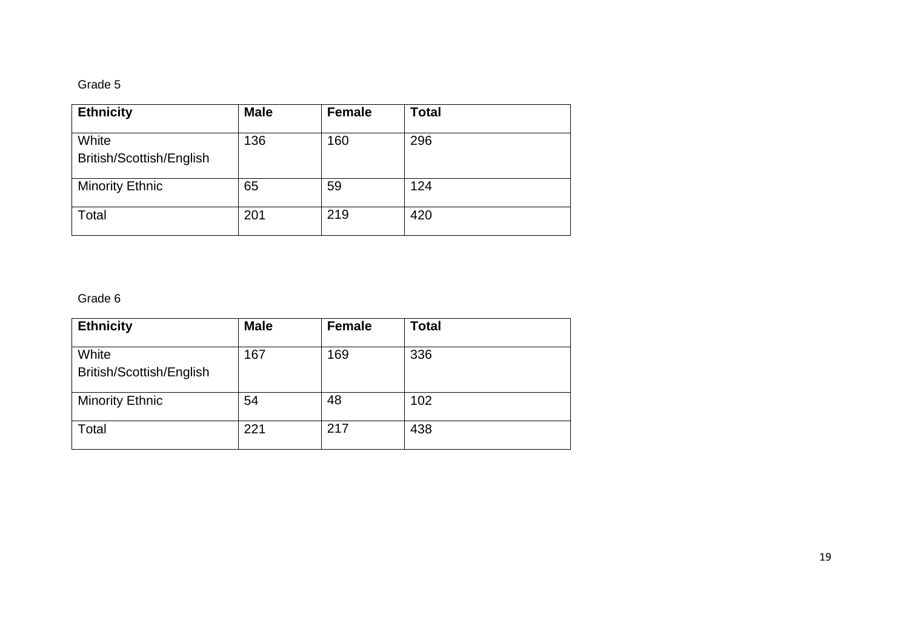## Grade 5

| <b>Ethnicity</b>                  | <b>Male</b> | <b>Female</b> | <b>Total</b> |
|-----------------------------------|-------------|---------------|--------------|
| White<br>British/Scottish/English | 136         | 160           | 296          |
| <b>Minority Ethnic</b>            | 65          | 59            | 124          |
| Total                             | 201         | 219           | 420          |

## Grade 6

| <b>Ethnicity</b>                  | <b>Male</b> | <b>Female</b> | <b>Total</b> |
|-----------------------------------|-------------|---------------|--------------|
| White<br>British/Scottish/English | 167         | 169           | 336          |
| <b>Minority Ethnic</b>            | 54          | 48            | 102          |
| Total                             | 221         | 217           | 438          |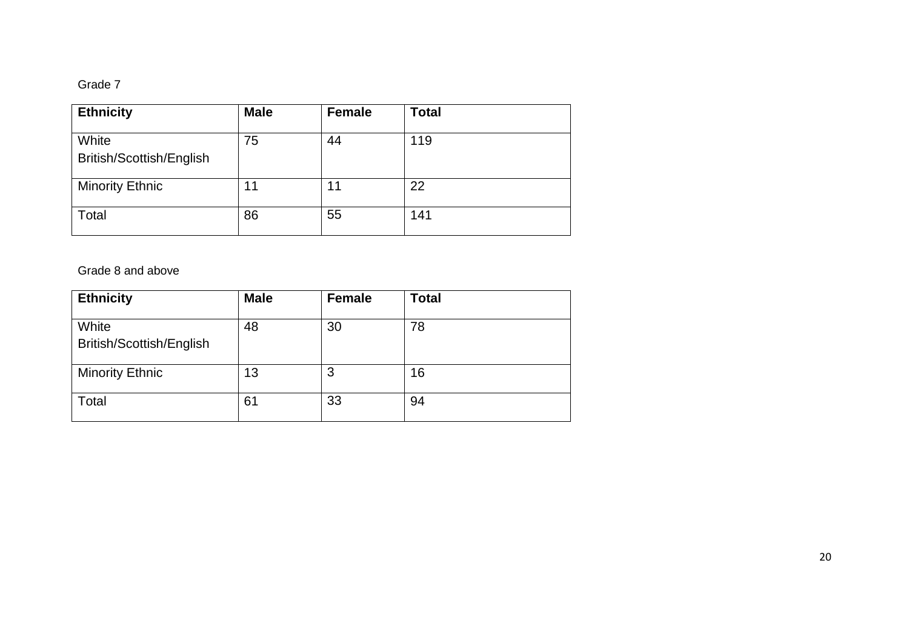## Grade 7

| <b>Ethnicity</b>                  | <b>Male</b> | <b>Female</b> | <b>Total</b> |
|-----------------------------------|-------------|---------------|--------------|
| White<br>British/Scottish/English | 75          | 44            | 119          |
| <b>Minority Ethnic</b>            | 11          | 11            | 22           |
| Total                             | 86          | 55            | 141          |

### Grade 8 and above

| <b>Ethnicity</b>                  | <b>Male</b> | <b>Female</b> | <b>Total</b> |
|-----------------------------------|-------------|---------------|--------------|
| White<br>British/Scottish/English | 48          | 30            | 78           |
| <b>Minority Ethnic</b>            | 13          | 3             | 16           |
| Total                             | 61          | 33            | 94           |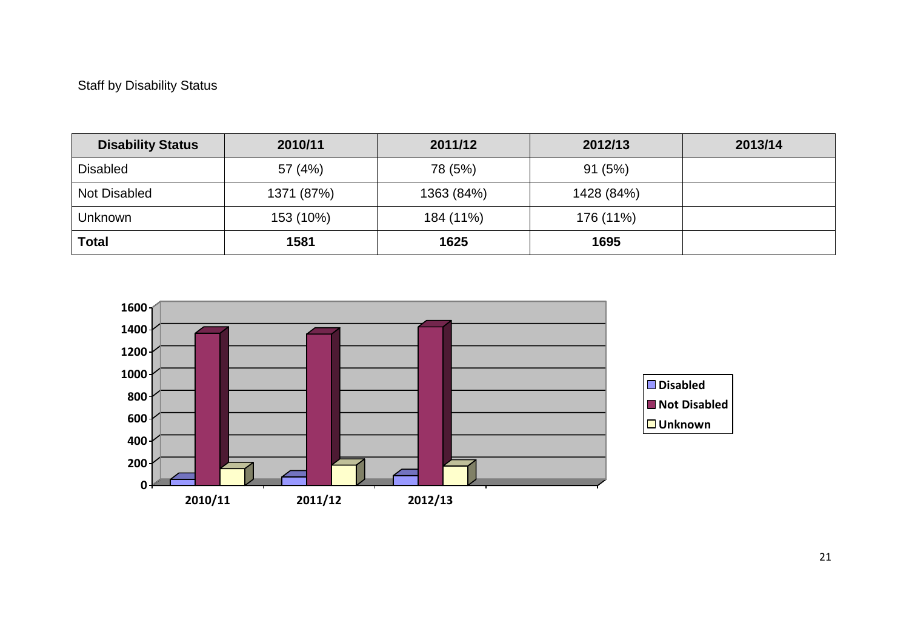# Staff by Disability Status

| <b>Disability Status</b> | 2010/11    | 2011/12    | 2012/13    | 2013/14 |
|--------------------------|------------|------------|------------|---------|
| <b>Disabled</b>          | 57 (4%)    | 78 (5%)    | 91(5%)     |         |
| Not Disabled             | 1371 (87%) | 1363 (84%) | 1428 (84%) |         |
| Unknown                  | 153 (10%)  | 184 (11%)  | 176 (11%)  |         |
| <b>Total</b>             | 1581       | 1625       | 1695       |         |

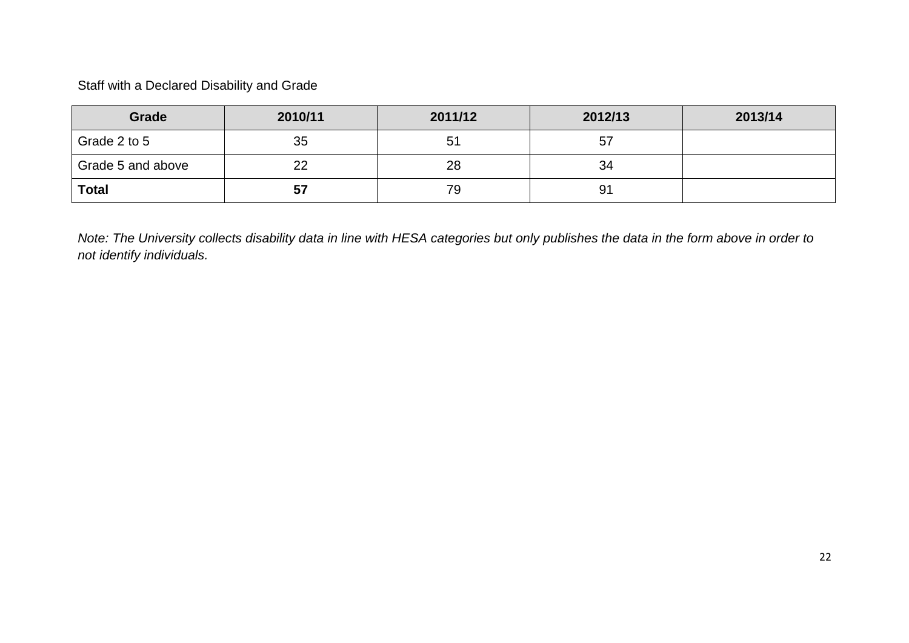Staff with a Declared Disability and Grade

| Grade             | 2010/11 | 2011/12 | 2012/13 | 2013/14 |
|-------------------|---------|---------|---------|---------|
| Grade 2 to 5      | 35      | 51      | 57      |         |
| Grade 5 and above | 22      | 28      | 34      |         |
| <b>Total</b>      | 57      | 79      | 91      |         |

*Note: The University collects disability data in line with HESA categories but only publishes the data in the form above in order to not identify individuals.*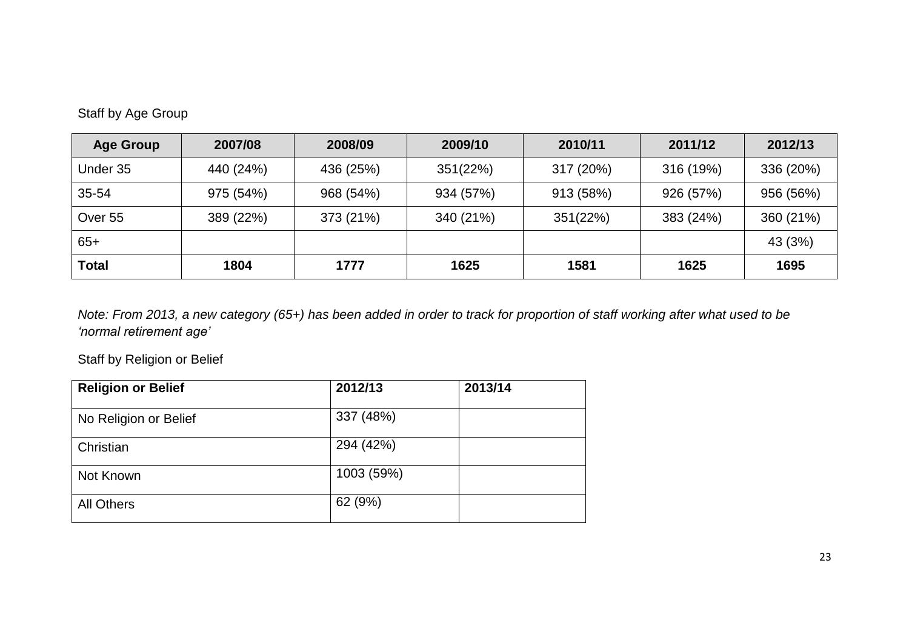|  |  |  | Staff by Age Group |
|--|--|--|--------------------|
|--|--|--|--------------------|

| <b>Age Group</b> | 2007/08   | 2008/09   | 2009/10   | 2010/11   | 2011/12   | 2012/13   |
|------------------|-----------|-----------|-----------|-----------|-----------|-----------|
| Under 35         | 440 (24%) | 436 (25%) | 351(22%)  | 317 (20%) | 316 (19%) | 336 (20%) |
| 35-54            | 975 (54%) | 968 (54%) | 934 (57%) | 913 (58%) | 926 (57%) | 956 (56%) |
| Over 55          | 389 (22%) | 373 (21%) | 340 (21%) | 351(22%)  | 383 (24%) | 360 (21%) |
| $65+$            |           |           |           |           |           | 43 (3%)   |
| <b>Total</b>     | 1804      | 1777      | 1625      | 1581      | 1625      | 1695      |

*Note: From 2013, a new category (65+) has been added in order to track for proportion of staff working after what used to be 'normal retirement age'*

Staff by Religion or Belief

| <b>Religion or Belief</b> | 2012/13    | 2013/14 |
|---------------------------|------------|---------|
| No Religion or Belief     | 337 (48%)  |         |
| Christian                 | 294 (42%)  |         |
| Not Known                 | 1003 (59%) |         |
| <b>All Others</b>         | 62 (9%)    |         |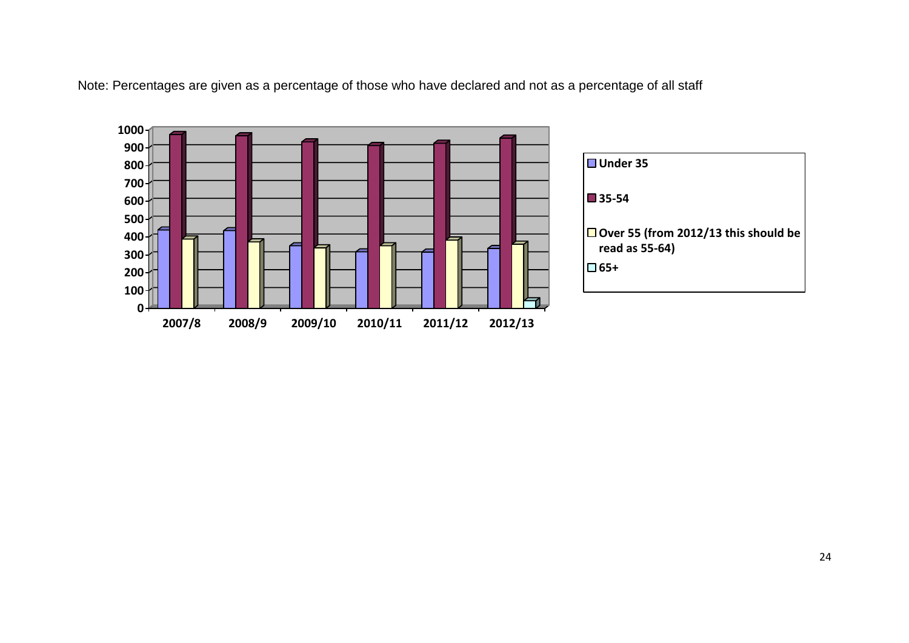Note: Percentages are given as a percentage of those who have declared and not as a percentage of all staff

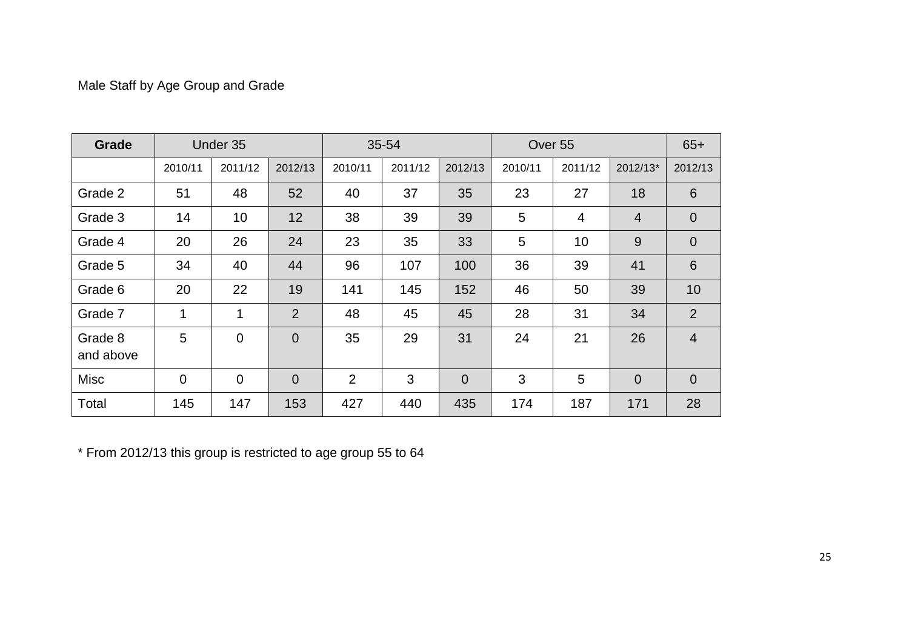# Male Staff by Age Group and Grade

| Grade                | Under 35       |          |                | 35-54          |         |                | Over <sub>55</sub> |                |                | $65+$           |
|----------------------|----------------|----------|----------------|----------------|---------|----------------|--------------------|----------------|----------------|-----------------|
|                      | 2010/11        | 2011/12  | 2012/13        | 2010/11        | 2011/12 | 2012/13        | 2010/11            | 2011/12        | 2012/13*       | 2012/13         |
| Grade 2              | 51             | 48       | 52             | 40             | 37      | 35             | 23                 | 27             | 18             | $6\phantom{1}6$ |
| Grade 3              | 14             | 10       | 12             | 38             | 39      | 39             | 5                  | $\overline{4}$ | $\overline{4}$ | $\overline{0}$  |
| Grade 4              | 20             | 26       | 24             | 23             | 35      | 33             | 5                  | 10             | 9              | $\overline{0}$  |
| Grade 5              | 34             | 40       | 44             | 96             | 107     | 100            | 36                 | 39             | 41             | $6\phantom{1}6$ |
| Grade 6              | 20             | 22       | 19             | 141            | 145     | 152            | 46                 | 50             | 39             | 10              |
| Grade 7              | $\mathbf{1}$   | 1        | $\overline{2}$ | 48             | 45      | 45             | 28                 | 31             | 34             | 2               |
| Grade 8<br>and above | 5              | $\Omega$ | $\Omega$       | 35             | 29      | 31             | 24                 | 21             | 26             | $\overline{4}$  |
| <b>Misc</b>          | $\overline{0}$ | $\Omega$ | $\overline{0}$ | $\overline{2}$ | 3       | $\overline{0}$ | 3                  | 5              | $\Omega$       | $\overline{0}$  |
| Total                | 145            | 147      | 153            | 427            | 440     | 435            | 174                | 187            | 171            | 28              |

\* From 2012/13 this group is restricted to age group 55 to 64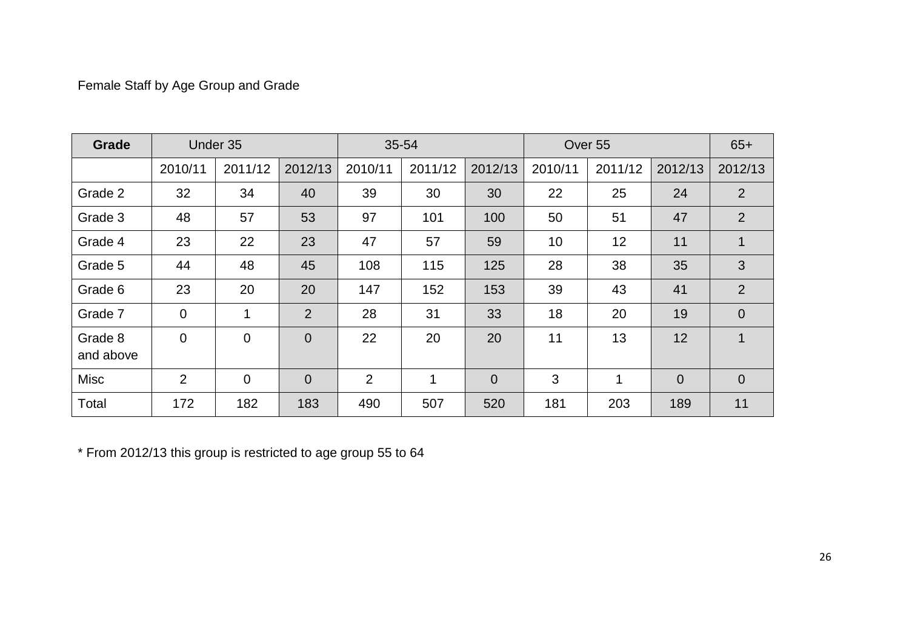# Female Staff by Age Group and Grade

| <b>Grade</b>         | Under 35       |                |                | 35-54          |         |                | Over 55 |         |                | $65+$          |
|----------------------|----------------|----------------|----------------|----------------|---------|----------------|---------|---------|----------------|----------------|
|                      | 2010/11        | 2011/12        | 2012/13        | 2010/11        | 2011/12 | 2012/13        | 2010/11 | 2011/12 | 2012/13        | 2012/13        |
| Grade 2              | 32             | 34             | 40             | 39             | 30      | 30             | 22      | 25      | 24             | 2              |
| Grade 3              | 48             | 57             | 53             | 97             | 101     | 100            | 50      | 51      | 47             | 2              |
| Grade 4              | 23             | 22             | 23             | 47             | 57      | 59             | 10      | 12      | 11             | $\mathbf{1}$   |
| Grade 5              | 44             | 48             | 45             | 108            | 115     | 125            | 28      | 38      | 35             | 3              |
| Grade 6              | 23             | 20             | 20             | 147            | 152     | 153            | 39      | 43      | 41             | $\overline{2}$ |
| Grade 7              | $\mathbf 0$    | 1              | $\overline{2}$ | 28             | 31      | 33             | 18      | 20      | 19             | $\overline{0}$ |
| Grade 8<br>and above | $\overline{0}$ | $\Omega$       | $\overline{0}$ | 22             | 20      | 20             | 11      | 13      | 12             | $\mathbf{1}$   |
| <b>Misc</b>          | 2              | $\overline{0}$ | $\overline{0}$ | $\overline{2}$ | 1       | $\overline{0}$ | 3       | 1       | $\overline{0}$ | $\overline{0}$ |
| Total                | 172            | 182            | 183            | 490            | 507     | 520            | 181     | 203     | 189            | 11             |

\* From 2012/13 this group is restricted to age group 55 to 64